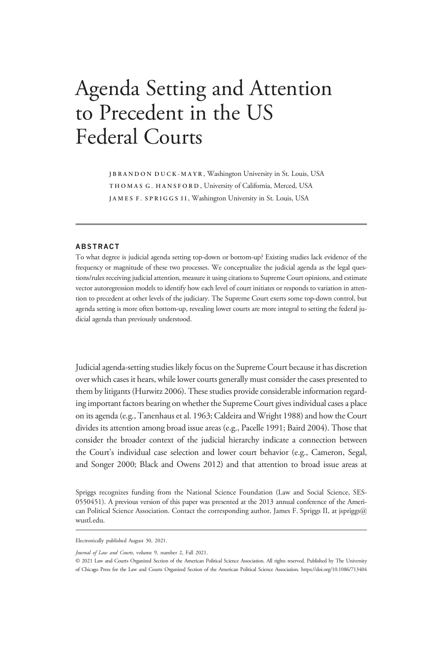# Agenda Setting and Attention to Precedent in the US Federal Courts

JBRANDON DUCK-MAYR , Washington University in St. Louis, USA THOMAS G. HANSFORD , University of California, Merced, USA JAMES F. SPRIGGS II , Washington University in St. Louis, USA

# ABSTRACT

To what degree is judicial agenda setting top-down or bottom-up? Existing studies lack evidence of the frequency or magnitude of these two processes. We conceptualize the judicial agenda as the legal questions/rules receiving judicial attention, measure it using citations to Supreme Court opinions, and estimate vector autoregression models to identify how each level of court initiates or responds to variation in attention to precedent at other levels of the judiciary. The Supreme Court exerts some top-down control, but agenda setting is more often bottom-up, revealing lower courts are more integral to setting the federal judicial agenda than previously understood.

Judicial agenda-setting studies likely focus on the Supreme Court because it has discretion over which cases it hears, while lower courts generally must consider the cases presented to them by litigants (Hurwitz 2006). These studies provide considerable information regarding important factors bearing on whether the Supreme Court gives individual cases a place on its agenda (e.g., Tanenhaus et al. 1963; Caldeira and Wright 1988) and how the Court divides its attention among broad issue areas (e.g., Pacelle 1991; Baird 2004). Those that consider the broader context of the judicial hierarchy indicate a connection between the Court's individual case selection and lower court behavior (e.g., Cameron, Segal, and Songer 2000; Black and Owens 2012) and that attention to broad issue areas at

Spriggs recognizes funding from the National Science Foundation (Law and Social Science, SES-0550451). A previous version of this paper was presented at the 2013 annual conference of the American Political Science Association. Contact the corresponding author, James F. Spriggs II, at jspriggs@ wustl.edu.

Electronically published August 30, 2021.

Journal of Law and Courts, volume 9, number 2, Fall 2021.

© 2021 Law and Courts Organized Section of the American Political Science Association. All rights reserved. Published by The University of Chicago Press for the Law and Courts Organized Section of the American Political Science Association. https://doi.org/10.1086/713404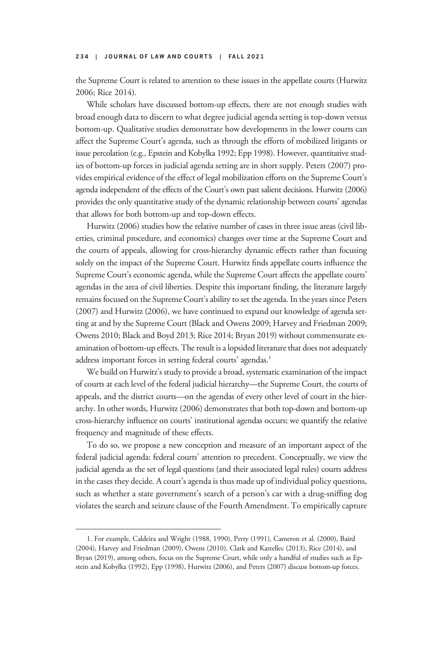the Supreme Court is related to attention to these issues in the appellate courts (Hurwitz 2006; Rice 2014).

While scholars have discussed bottom-up effects, there are not enough studies with broad enough data to discern to what degree judicial agenda setting is top-down versus bottom-up. Qualitative studies demonstrate how developments in the lower courts can affect the Supreme Court's agenda, such as through the efforts of mobilized litigants or issue percolation (e.g., Epstein and Kobylka 1992; Epp 1998). However, quantitative studies of bottom-up forces in judicial agenda setting are in short supply. Peters (2007) provides empirical evidence of the effect of legal mobilization efforts on the Supreme Court's agenda independent of the effects of the Court's own past salient decisions. Hurwitz (2006) provides the only quantitative study of the dynamic relationship between courts' agendas that allows for both bottom-up and top-down effects.

Hurwitz (2006) studies how the relative number of cases in three issue areas (civil liberties, criminal procedure, and economics) changes over time at the Supreme Court and the courts of appeals, allowing for cross-hierarchy dynamic effects rather than focusing solely on the impact of the Supreme Court. Hurwitz finds appellate courts influence the Supreme Court's economic agenda, while the Supreme Court affects the appellate courts' agendas in the area of civil liberties. Despite this important finding, the literature largely remains focused on the Supreme Court's ability to set the agenda. In the years since Peters (2007) and Hurwitz (2006), we have continued to expand our knowledge of agenda setting at and by the Supreme Court (Black and Owens 2009; Harvey and Friedman 2009; Owens 2010; Black and Boyd 2013; Rice 2014; Bryan 2019) without commensurate examination of bottom-up effects. The result is a lopsided literature that does not adequately address important forces in setting federal courts' agendas.<sup>1</sup>

We build on Hurwitz's study to provide a broad, systematic examination of the impact of courts at each level of the federal judicial hierarchy—the Supreme Court, the courts of appeals, and the district courts—on the agendas of every other level of court in the hierarchy. In other words, Hurwitz (2006) demonstrates that both top-down and bottom-up cross-hierarchy influence on courts' institutional agendas occurs; we quantify the relative frequency and magnitude of these effects.

To do so, we propose a new conception and measure of an important aspect of the federal judicial agenda: federal courts' attention to precedent. Conceptually, we view the judicial agenda as the set of legal questions (and their associated legal rules) courts address in the cases they decide. A court's agenda is thus made up of individual policy questions, such as whether a state government's search of a person's car with a drug-sniffing dog violates the search and seizure clause of the Fourth Amendment. To empirically capture

<sup>1.</sup> For example, Caldeira and Wright (1988, 1990), Perry (1991), Cameron et al. (2000), Baird (2004), Harvey and Friedman (2009), Owens (2010), Clark and Kastellec (2013), Rice (2014), and Bryan (2019), among others, focus on the Supreme Court, while only a handful of studies such as Epstein and Kobylka (1992), Epp (1998), Hurwitz (2006), and Peters (2007) discuss bottom-up forces.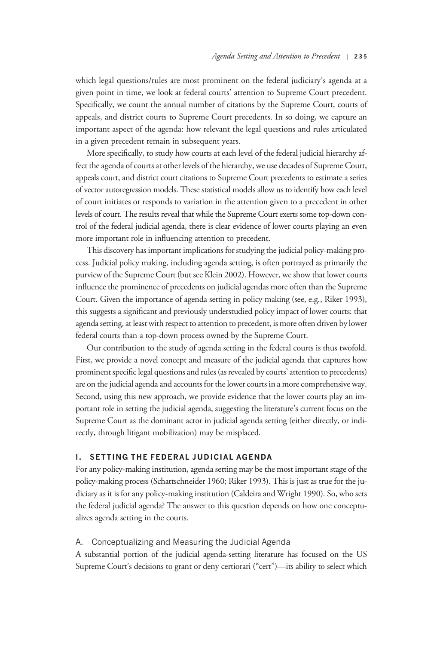which legal questions/rules are most prominent on the federal judiciary's agenda at a given point in time, we look at federal courts' attention to Supreme Court precedent. Specifically, we count the annual number of citations by the Supreme Court, courts of appeals, and district courts to Supreme Court precedents. In so doing, we capture an important aspect of the agenda: how relevant the legal questions and rules articulated in a given precedent remain in subsequent years.

More specifically, to study how courts at each level of the federal judicial hierarchy affect the agenda of courts at other levels of the hierarchy, we use decades of Supreme Court, appeals court, and district court citations to Supreme Court precedents to estimate a series of vector autoregression models. These statistical models allow us to identify how each level of court initiates or responds to variation in the attention given to a precedent in other levels of court. The results reveal that while the Supreme Court exerts some top-down control of the federal judicial agenda, there is clear evidence of lower courts playing an even more important role in influencing attention to precedent.

This discovery has important implications for studying the judicial policy-making process. Judicial policy making, including agenda setting, is often portrayed as primarily the purview of the Supreme Court (but see Klein 2002). However, we show that lower courts influence the prominence of precedents on judicial agendas more often than the Supreme Court. Given the importance of agenda setting in policy making (see, e.g., Riker 1993), this suggests a significant and previously understudied policy impact of lower courts: that agenda setting, at least with respect to attention to precedent, is more often driven by lower federal courts than a top-down process owned by the Supreme Court.

Our contribution to the study of agenda setting in the federal courts is thus twofold. First, we provide a novel concept and measure of the judicial agenda that captures how prominent specific legal questions and rules (as revealed by courts'attention to precedents) are on the judicial agenda and accounts for the lower courts in a more comprehensive way. Second, using this new approach, we provide evidence that the lower courts play an important role in setting the judicial agenda, suggesting the literature's current focus on the Supreme Court as the dominant actor in judicial agenda setting (either directly, or indirectly, through litigant mobilization) may be misplaced.

# I. SETTING THE FEDERAL JUDICIAL AGENDA

For any policy-making institution, agenda setting may be the most important stage of the policy-making process (Schattschneider 1960; Riker 1993). This is just as true for the judiciary as it is for any policy-making institution (Caldeira and Wright 1990). So, who sets the federal judicial agenda? The answer to this question depends on how one conceptualizes agenda setting in the courts.

# A. Conceptualizing and Measuring the Judicial Agenda

A substantial portion of the judicial agenda-setting literature has focused on the US Supreme Court's decisions to grant or deny certiorari ("cert")—its ability to select which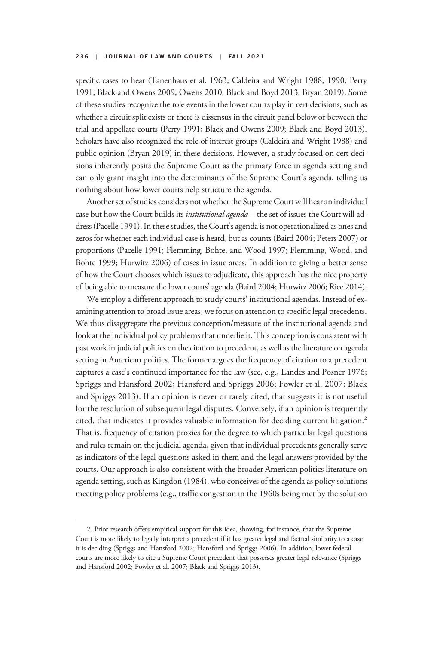specific cases to hear (Tanenhaus et al. 1963; Caldeira and Wright 1988, 1990; Perry 1991; Black and Owens 2009; Owens 2010; Black and Boyd 2013; Bryan 2019). Some of these studies recognize the role events in the lower courts play in cert decisions, such as whether a circuit split exists or there is dissensus in the circuit panel below or between the trial and appellate courts (Perry 1991; Black and Owens 2009; Black and Boyd 2013). Scholars have also recognized the role of interest groups (Caldeira and Wright 1988) and public opinion (Bryan 2019) in these decisions. However, a study focused on cert decisions inherently posits the Supreme Court as the primary force in agenda setting and can only grant insight into the determinants of the Supreme Court's agenda, telling us nothing about how lower courts help structure the agenda.

Another set of studies considers not whether the Supreme Court will hear an individual case but how the Court builds its *institutional agenda*—the set of issues the Court will address (Pacelle 1991). In these studies, the Court's agenda is not operationalized as ones and zeros for whether each individual case is heard, but as counts (Baird 2004; Peters 2007) or proportions (Pacelle 1991; Flemming, Bohte, and Wood 1997; Flemming, Wood, and Bohte 1999; Hurwitz 2006) of cases in issue areas. In addition to giving a better sense of how the Court chooses which issues to adjudicate, this approach has the nice property of being able to measure the lower courts'agenda (Baird 2004; Hurwitz 2006; Rice 2014).

We employ a different approach to study courts' institutional agendas. Instead of examining attention to broad issue areas, we focus on attention to specific legal precedents. We thus disaggregate the previous conception/measure of the institutional agenda and look at the individual policy problems that underlie it. This conception is consistent with past work in judicial politics on the citation to precedent, as well as the literature on agenda setting in American politics. The former argues the frequency of citation to a precedent captures a case's continued importance for the law (see, e.g., Landes and Posner 1976; Spriggs and Hansford 2002; Hansford and Spriggs 2006; Fowler et al. 2007; Black and Spriggs 2013). If an opinion is never or rarely cited, that suggests it is not useful for the resolution of subsequent legal disputes. Conversely, if an opinion is frequently cited, that indicates it provides valuable information for deciding current litigation.<sup>2</sup> That is, frequency of citation proxies for the degree to which particular legal questions and rules remain on the judicial agenda, given that individual precedents generally serve as indicators of the legal questions asked in them and the legal answers provided by the courts. Our approach is also consistent with the broader American politics literature on agenda setting, such as Kingdon (1984), who conceives of the agenda as policy solutions meeting policy problems (e.g., traffic congestion in the 1960s being met by the solution

<sup>2.</sup> Prior research offers empirical support for this idea, showing, for instance, that the Supreme Court is more likely to legally interpret a precedent if it has greater legal and factual similarity to a case it is deciding (Spriggs and Hansford 2002; Hansford and Spriggs 2006). In addition, lower federal courts are more likely to cite a Supreme Court precedent that possesses greater legal relevance (Spriggs and Hansford 2002; Fowler et al. 2007; Black and Spriggs 2013).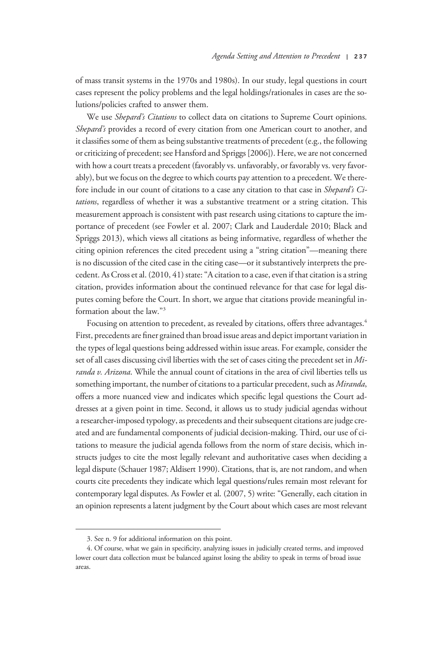of mass transit systems in the 1970s and 1980s). In our study, legal questions in court cases represent the policy problems and the legal holdings/rationales in cases are the solutions/policies crafted to answer them.

We use Shepard's Citations to collect data on citations to Supreme Court opinions. Shepard's provides a record of every citation from one American court to another, and it classifies some of them as being substantive treatments of precedent (e.g., the following or criticizing of precedent; see Hansford and Spriggs [2006]). Here, we are not concerned with how a court treats a precedent (favorably vs. unfavorably, or favorably vs. very favorably), but we focus on the degree to which courts pay attention to a precedent. We therefore include in our count of citations to a case any citation to that case in Shepard's Citations, regardless of whether it was a substantive treatment or a string citation. This measurement approach is consistent with past research using citations to capture the importance of precedent (see Fowler et al. 2007; Clark and Lauderdale 2010; Black and Spriggs 2013), which views all citations as being informative, regardless of whether the citing opinion references the cited precedent using a "string citation"—meaning there is no discussion of the cited case in the citing case—or it substantively interprets the precedent. As Cross et al. (2010, 41) state:"A citation to a case, even if that citation is a string citation, provides information about the continued relevance for that case for legal disputes coming before the Court. In short, we argue that citations provide meaningful information about the law."<sup>3</sup>

Focusing on attention to precedent, as revealed by citations, offers three advantages.<sup>4</sup> First, precedents are finer grained than broad issue areas and depict important variation in the types of legal questions being addressed within issue areas. For example, consider the set of all cases discussing civil liberties with the set of cases citing the precedent set in Miranda v. Arizona. While the annual count of citations in the area of civil liberties tells us something important, the number of citations to a particular precedent, such as Miranda, offers a more nuanced view and indicates which specific legal questions the Court addresses at a given point in time. Second, it allows us to study judicial agendas without a researcher-imposed typology, as precedents and their subsequent citations are judge created and are fundamental components of judicial decision-making. Third, our use of citations to measure the judicial agenda follows from the norm of stare decisis, which instructs judges to cite the most legally relevant and authoritative cases when deciding a legal dispute (Schauer 1987; Aldisert 1990). Citations, that is, are not random, and when courts cite precedents they indicate which legal questions/rules remain most relevant for contemporary legal disputes. As Fowler et al. (2007, 5) write: "Generally, each citation in an opinion represents a latent judgment by the Court about which cases are most relevant

<sup>3.</sup> See n. 9 for additional information on this point.

<sup>4.</sup> Of course, what we gain in specificity, analyzing issues in judicially created terms, and improved lower court data collection must be balanced against losing the ability to speak in terms of broad issue areas.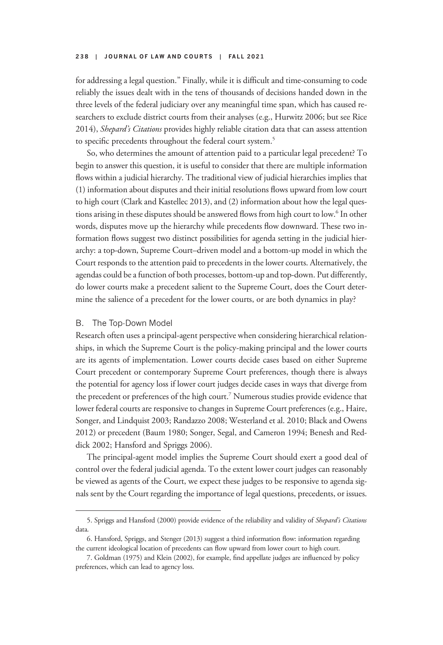for addressing a legal question." Finally, while it is difficult and time-consuming to code reliably the issues dealt with in the tens of thousands of decisions handed down in the three levels of the federal judiciary over any meaningful time span, which has caused researchers to exclude district courts from their analyses (e.g., Hurwitz 2006; but see Rice 2014), Shepard's Citations provides highly reliable citation data that can assess attention to specific precedents throughout the federal court system.<sup>5</sup>

So, who determines the amount of attention paid to a particular legal precedent? To begin to answer this question, it is useful to consider that there are multiple information flows within a judicial hierarchy. The traditional view of judicial hierarchies implies that (1) information about disputes and their initial resolutions flows upward from low court to high court (Clark and Kastellec 2013), and (2) information about how the legal questions arising in these disputes should be answered flows from high court to low.<sup>6</sup> In other words, disputes move up the hierarchy while precedents flow downward. These two information flows suggest two distinct possibilities for agenda setting in the judicial hierarchy: a top-down, Supreme Court–driven model and a bottom-up model in which the Court responds to the attention paid to precedents in the lower courts. Alternatively, the agendas could be a function of both processes, bottom-up and top-down. Put differently, do lower courts make a precedent salient to the Supreme Court, does the Court determine the salience of a precedent for the lower courts, or are both dynamics in play?

#### B. The Top-Down Model

Research often uses a principal-agent perspective when considering hierarchical relationships, in which the Supreme Court is the policy-making principal and the lower courts are its agents of implementation. Lower courts decide cases based on either Supreme Court precedent or contemporary Supreme Court preferences, though there is always the potential for agency loss if lower court judges decide cases in ways that diverge from the precedent or preferences of the high court.<sup>7</sup> Numerous studies provide evidence that lower federal courts are responsive to changes in Supreme Court preferences (e.g., Haire, Songer, and Lindquist 2003; Randazzo 2008; Westerland et al. 2010; Black and Owens 2012) or precedent (Baum 1980; Songer, Segal, and Cameron 1994; Benesh and Reddick 2002; Hansford and Spriggs 2006).

The principal-agent model implies the Supreme Court should exert a good deal of control over the federal judicial agenda. To the extent lower court judges can reasonably be viewed as agents of the Court, we expect these judges to be responsive to agenda signals sent by the Court regarding the importance of legal questions, precedents, or issues.

<sup>5.</sup> Spriggs and Hansford (2000) provide evidence of the reliability and validity of Shepard's Citations data.

<sup>6.</sup> Hansford, Spriggs, and Stenger (2013) suggest a third information flow: information regarding the current ideological location of precedents can flow upward from lower court to high court.

<sup>7.</sup> Goldman (1975) and Klein (2002), for example, find appellate judges are influenced by policy preferences, which can lead to agency loss.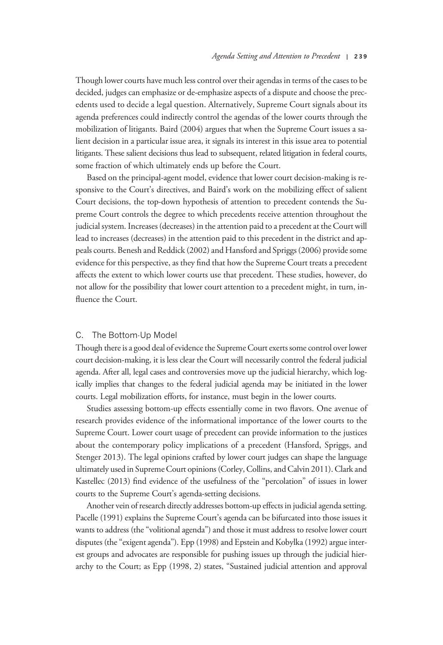Though lower courts have much less control over their agendas in terms of the cases to be decided, judges can emphasize or de-emphasize aspects of a dispute and choose the precedents used to decide a legal question. Alternatively, Supreme Court signals about its agenda preferences could indirectly control the agendas of the lower courts through the mobilization of litigants. Baird (2004) argues that when the Supreme Court issues a salient decision in a particular issue area, it signals its interest in this issue area to potential litigants. These salient decisions thus lead to subsequent, related litigation in federal courts, some fraction of which ultimately ends up before the Court.

Based on the principal-agent model, evidence that lower court decision-making is responsive to the Court's directives, and Baird's work on the mobilizing effect of salient Court decisions, the top-down hypothesis of attention to precedent contends the Supreme Court controls the degree to which precedents receive attention throughout the judicial system. Increases (decreases) in the attention paid to a precedent at the Court will lead to increases (decreases) in the attention paid to this precedent in the district and appeals courts. Benesh and Reddick (2002) and Hansford and Spriggs (2006) provide some evidence for this perspective, as they find that how the Supreme Court treats a precedent affects the extent to which lower courts use that precedent. These studies, however, do not allow for the possibility that lower court attention to a precedent might, in turn, influence the Court.

# C. The Bottom-Up Model

Though there is a good deal of evidence the Supreme Court exerts some control over lower court decision-making, it is less clear the Court will necessarily control the federal judicial agenda. After all, legal cases and controversies move up the judicial hierarchy, which logically implies that changes to the federal judicial agenda may be initiated in the lower courts. Legal mobilization efforts, for instance, must begin in the lower courts.

Studies assessing bottom-up effects essentially come in two flavors. One avenue of research provides evidence of the informational importance of the lower courts to the Supreme Court. Lower court usage of precedent can provide information to the justices about the contemporary policy implications of a precedent (Hansford, Spriggs, and Stenger 2013). The legal opinions crafted by lower court judges can shape the language ultimately used in Supreme Court opinions (Corley, Collins, and Calvin 2011). Clark and Kastellec (2013) find evidence of the usefulness of the "percolation" of issues in lower courts to the Supreme Court's agenda-setting decisions.

Another vein of research directly addresses bottom-up effects in judicial agenda setting. Pacelle (1991) explains the Supreme Court's agenda can be bifurcated into those issues it wants to address (the "volitional agenda") and those it must address to resolve lower court disputes (the"exigent agenda"). Epp (1998) and Epstein and Kobylka (1992) argue interest groups and advocates are responsible for pushing issues up through the judicial hierarchy to the Court; as Epp (1998, 2) states, "Sustained judicial attention and approval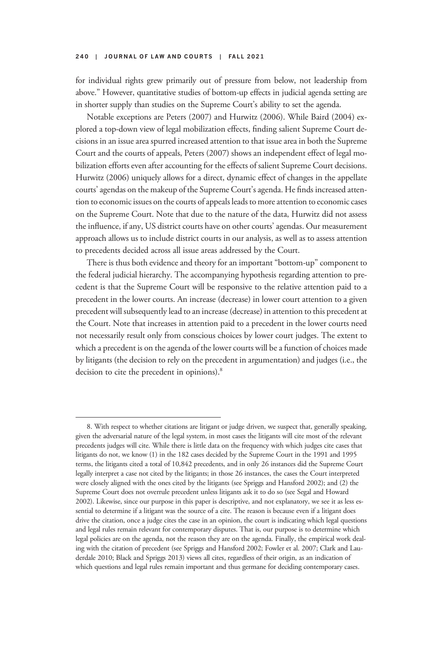for individual rights grew primarily out of pressure from below, not leadership from above." However, quantitative studies of bottom-up effects in judicial agenda setting are in shorter supply than studies on the Supreme Court's ability to set the agenda.

Notable exceptions are Peters (2007) and Hurwitz (2006). While Baird (2004) explored a top-down view of legal mobilization effects, finding salient Supreme Court decisions in an issue area spurred increased attention to that issue area in both the Supreme Court and the courts of appeals, Peters (2007) shows an independent effect of legal mobilization efforts even after accounting for the effects of salient Supreme Court decisions. Hurwitz (2006) uniquely allows for a direct, dynamic effect of changes in the appellate courts'agendas on the makeup of the Supreme Court's agenda. He finds increased attention to economic issues on the courts of appeals leads to more attention to economic cases on the Supreme Court. Note that due to the nature of the data, Hurwitz did not assess the influence, if any, US district courts have on other courts' agendas. Our measurement approach allows us to include district courts in our analysis, as well as to assess attention to precedents decided across all issue areas addressed by the Court.

There is thus both evidence and theory for an important "bottom-up" component to the federal judicial hierarchy. The accompanying hypothesis regarding attention to precedent is that the Supreme Court will be responsive to the relative attention paid to a precedent in the lower courts. An increase (decrease) in lower court attention to a given precedent will subsequently lead to an increase (decrease) in attention to this precedent at the Court. Note that increases in attention paid to a precedent in the lower courts need not necessarily result only from conscious choices by lower court judges. The extent to which a precedent is on the agenda of the lower courts will be a function of choices made by litigants (the decision to rely on the precedent in argumentation) and judges (i.e., the decision to cite the precedent in opinions).<sup>8</sup>

<sup>8.</sup> With respect to whether citations are litigant or judge driven, we suspect that, generally speaking, given the adversarial nature of the legal system, in most cases the litigants will cite most of the relevant precedents judges will cite. While there is little data on the frequency with which judges cite cases that litigants do not, we know (1) in the 182 cases decided by the Supreme Court in the 1991 and 1995 terms, the litigants cited a total of 10,842 precedents, and in only 26 instances did the Supreme Court legally interpret a case not cited by the litigants; in those 26 instances, the cases the Court interpreted were closely aligned with the ones cited by the litigants (see Spriggs and Hansford 2002); and (2) the Supreme Court does not overrule precedent unless litigants ask it to do so (see Segal and Howard 2002). Likewise, since our purpose in this paper is descriptive, and not explanatory, we see it as less essential to determine if a litigant was the source of a cite. The reason is because even if a litigant does drive the citation, once a judge cites the case in an opinion, the court is indicating which legal questions and legal rules remain relevant for contemporary disputes. That is, our purpose is to determine which legal policies are on the agenda, not the reason they are on the agenda. Finally, the empirical work dealing with the citation of precedent (see Spriggs and Hansford 2002; Fowler et al. 2007; Clark and Lauderdale 2010; Black and Spriggs 2013) views all cites, regardless of their origin, as an indication of which questions and legal rules remain important and thus germane for deciding contemporary cases.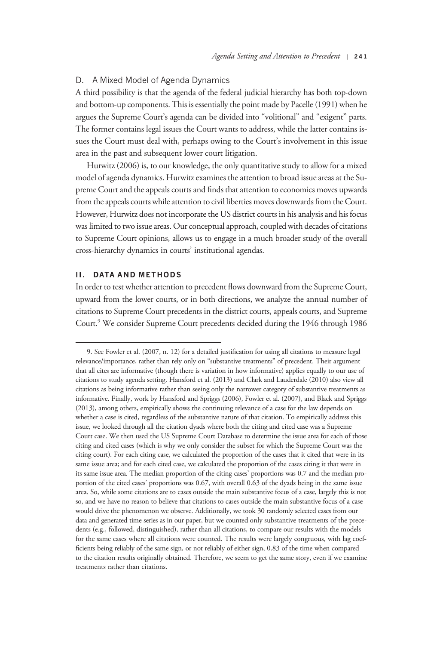# D. A Mixed Model of Agenda Dynamics

A third possibility is that the agenda of the federal judicial hierarchy has both top-down and bottom-up components. This is essentially the point made by Pacelle (1991) when he argues the Supreme Court's agenda can be divided into "volitional" and "exigent" parts. The former contains legal issues the Court wants to address, while the latter contains issues the Court must deal with, perhaps owing to the Court's involvement in this issue area in the past and subsequent lower court litigation.

Hurwitz (2006) is, to our knowledge, the only quantitative study to allow for a mixed model of agenda dynamics. Hurwitz examines the attention to broad issue areas at the Supreme Court and the appeals courts and finds that attention to economics moves upwards from the appeals courts while attention to civil liberties moves downwards from the Court. However, Hurwitz does not incorporate the US district courts in his analysis and his focus was limited to two issue areas. Our conceptual approach, coupled with decades of citations to Supreme Court opinions, allows us to engage in a much broader study of the overall cross-hierarchy dynamics in courts' institutional agendas.

# II. DATA AND METHODS

In order to test whether attention to precedent flows downward from the Supreme Court, upward from the lower courts, or in both directions, we analyze the annual number of citations to Supreme Court precedents in the district courts, appeals courts, and Supreme Court.9 We consider Supreme Court precedents decided during the 1946 through 1986

<sup>9.</sup> See Fowler et al. (2007, n. 12) for a detailed justification for using all citations to measure legal relevance/importance, rather than rely only on "substantive treatments" of precedent. Their argument that all cites are informative (though there is variation in how informative) applies equally to our use of citations to study agenda setting. Hansford et al. (2013) and Clark and Lauderdale (2010) also view all citations as being informative rather than seeing only the narrower category of substantive treatments as informative. Finally, work by Hansford and Spriggs (2006), Fowler et al. (2007), and Black and Spriggs (2013), among others, empirically shows the continuing relevance of a case for the law depends on whether a case is cited, regardless of the substantive nature of that citation. To empirically address this issue, we looked through all the citation dyads where both the citing and cited case was a Supreme Court case. We then used the US Supreme Court Database to determine the issue area for each of those citing and cited cases (which is why we only consider the subset for which the Supreme Court was the citing court). For each citing case, we calculated the proportion of the cases that it cited that were in its same issue area; and for each cited case, we calculated the proportion of the cases citing it that were in its same issue area. The median proportion of the citing cases' proportions was 0.7 and the median proportion of the cited cases' proportions was 0.67, with overall 0.63 of the dyads being in the same issue area. So, while some citations are to cases outside the main substantive focus of a case, largely this is not so, and we have no reason to believe that citations to cases outside the main substantive focus of a case would drive the phenomenon we observe. Additionally, we took 30 randomly selected cases from our data and generated time series as in our paper, but we counted only substantive treatments of the precedents (e.g., followed, distinguished), rather than all citations, to compare our results with the models for the same cases where all citations were counted. The results were largely congruous, with lag coefficients being reliably of the same sign, or not reliably of either sign, 0.83 of the time when compared to the citation results originally obtained. Therefore, we seem to get the same story, even if we examine treatments rather than citations.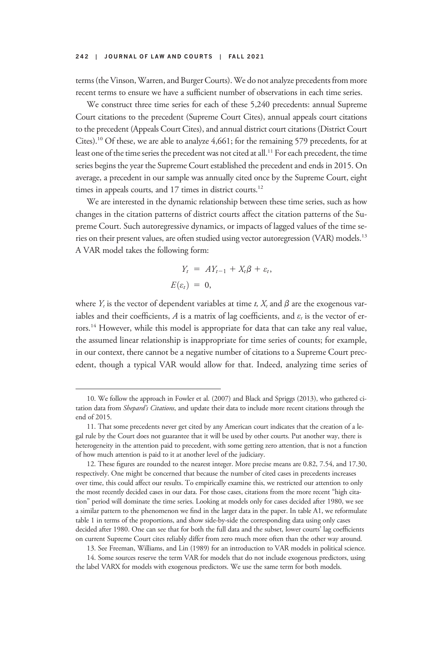terms (the Vinson, Warren, and Burger Courts). We do not analyze precedents from more recent terms to ensure we have a sufficient number of observations in each time series.

We construct three time series for each of these 5,240 precedents: annual Supreme Court citations to the precedent (Supreme Court Cites), annual appeals court citations to the precedent (Appeals Court Cites), and annual district court citations (District Court Cites).10 Of these, we are able to analyze 4,661; for the remaining 579 precedents, for at least one of the time series the precedent was not cited at all.<sup>11</sup> For each precedent, the time series begins the year the Supreme Court established the precedent and ends in 2015. On average, a precedent in our sample was annually cited once by the Supreme Court, eight times in appeals courts, and 17 times in district courts.<sup>12</sup>

We are interested in the dynamic relationship between these time series, such as how changes in the citation patterns of district courts affect the citation patterns of the Supreme Court. Such autoregressive dynamics, or impacts of lagged values of the time series on their present values, are often studied using vector autoregression (VAR) models.13 A VAR model takes the following form:

$$
Y_t = A Y_{t-1} + X_t \beta + \varepsilon_t,
$$
  

$$
E(\varepsilon_t) = 0,
$$

where  $Y_t$  is the vector of dependent variables at time t,  $X_t$  and  $\beta$  are the exogenous variables and their coefficients, A is a matrix of lag coefficients, and  $\varepsilon_t$  is the vector of errors.<sup>14</sup> However, while this model is appropriate for data that can take any real value, the assumed linear relationship is inappropriate for time series of counts; for example, in our context, there cannot be a negative number of citations to a Supreme Court precedent, though a typical VAR would allow for that. Indeed, analyzing time series of

<sup>10.</sup> We follow the approach in Fowler et al. (2007) and Black and Spriggs (2013), who gathered citation data from *Shepard's Citations*, and update their data to include more recent citations through the end of 2015.

<sup>11.</sup> That some precedents never get cited by any American court indicates that the creation of a legal rule by the Court does not guarantee that it will be used by other courts. Put another way, there is heterogeneity in the attention paid to precedent, with some getting zero attention, that is not a function of how much attention is paid to it at another level of the judiciary.

<sup>12.</sup> These figures are rounded to the nearest integer. More precise means are 0.82, 7.54, and 17.30, respectively. One might be concerned that because the number of cited cases in precedents increases over time, this could affect our results. To empirically examine this, we restricted our attention to only the most recently decided cases in our data. For those cases, citations from the more recent "high citation" period will dominate the time series. Looking at models only for cases decided after 1980, we see a similar pattern to the phenomenon we find in the larger data in the paper. In table A1, we reformulate table 1 in terms of the proportions, and show side-by-side the corresponding data using only cases decided after 1980. One can see that for both the full data and the subset, lower courts' lag coefficients on current Supreme Court cites reliably differ from zero much more often than the other way around.

<sup>13.</sup> See Freeman, Williams, and Lin (1989) for an introduction to VAR models in political science.

<sup>14.</sup> Some sources reserve the term VAR for models that do not include exogenous predictors, using the label VARX for models with exogenous predictors. We use the same term for both models.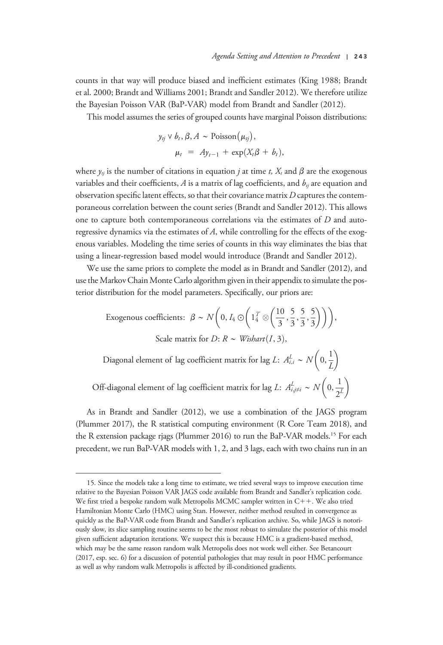counts in that way will produce biased and inefficient estimates (King 1988; Brandt et al. 2000; Brandt and Williams 2001; Brandt and Sandler 2012). We therefore utilize the Bayesian Poisson VAR (BaP-VAR) model from Brandt and Sandler (2012).

This model assumes the series of grouped counts have marginal Poisson distributions:

$$
y_{tj} \vee b_t, \beta, A \sim \text{Poisson}(\mu_{tj}),
$$
  

$$
\mu_t = Ay_{t-1} + \exp(X_t\beta + b_t),
$$

where  $\gamma_{ti}$  is the number of citations in equation *j* at time *t*,  $X_t$  and  $\beta$  are the exogenous variables and their coefficients,  $A$  is a matrix of lag coefficients, and  $b_{ij}$  are equation and observation specific latent effects, so that their covariance matrix  $D$  captures the contemporaneous correlation between the count series (Brandt and Sandler 2012). This allows one to capture both contemporaneous correlations via the estimates of D and autoregressive dynamics via the estimates of A, while controlling for the effects of the exogenous variables. Modeling the time series of counts in this way eliminates the bias that using a linear-regression based model would introduce (Brandt and Sandler 2012).

We use the same priors to complete the model as in Brandt and Sandler (2012), and use the Markov Chain Monte Carlo algorithm given in their appendix to simulate the posterior distribution for the model parameters. Specifically, our priors are:

Exogenous coefficients: 
$$
\beta \sim N\left(0, I_4 \odot \left(1\frac{7}{4} \otimes \left(\frac{10}{3}, \frac{5}{3}, \frac{5}{3}, \frac{5}{3}\right)\right)\right),
$$
  
Scale matrix for *D*:  $R \sim \text{Wishart}(I, 3)$ ,

Diagonal element of lag coefficient matrix for lag L:  $A^{L}_{i,i} \sim N\left(0, \frac{1}{I}\right)$ L  $\binom{1}{2}$ 

Off-diagonal element of lag coefficient matrix for lag *L*:  $A^{L}_{i,j\neq i} \sim N\left(0, \frac{1}{\gamma}\right)$  $2^L$  $\binom{1}{2}$ 

As in Brandt and Sandler (2012), we use a combination of the JAGS program (Plummer 2017), the R statistical computing environment (R Core Team 2018), and the R extension package rjags (Plummer 2016) to run the BaP-VAR models.15 For each precedent, we run BaP-VAR models with 1, 2, and 3 lags, each with two chains run in an

<sup>15.</sup> Since the models take a long time to estimate, we tried several ways to improve execution time relative to the Bayesian Poisson VAR JAGS code available from Brandt and Sandler's replication code. We first tried a bespoke random walk Metropolis MCMC sampler written in  $C++$ . We also tried Hamiltonian Monte Carlo (HMC) using Stan. However, neither method resulted in convergence as quickly as the BaP-VAR code from Brandt and Sandler's replication archive. So, while JAGS is notoriously slow, its slice sampling routine seems to be the most robust to simulate the posterior of this model given sufficient adaptation iterations. We suspect this is because HMC is a gradient-based method, which may be the same reason random walk Metropolis does not work well either. See Betancourt (2017, esp. sec. 6) for a discussion of potential pathologies that may result in poor HMC performance as well as why random walk Metropolis is affected by ill-conditioned gradients.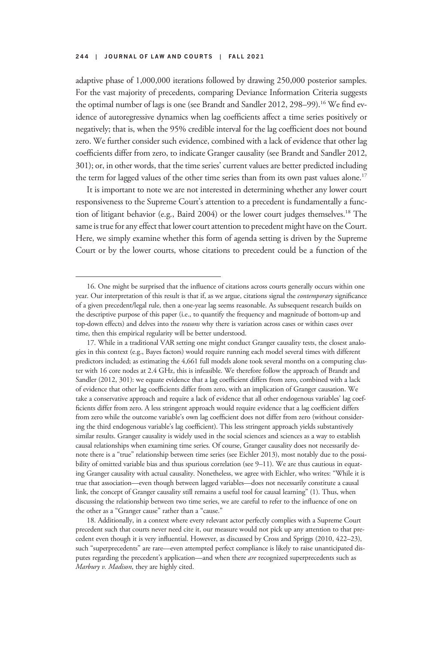adaptive phase of 1,000,000 iterations followed by drawing 250,000 posterior samples. For the vast majority of precedents, comparing Deviance Information Criteria suggests the optimal number of lags is one (see Brandt and Sandler 2012, 298–99).<sup>16</sup> We find evidence of autoregressive dynamics when lag coefficients affect a time series positively or negatively; that is, when the 95% credible interval for the lag coefficient does not bound zero. We further consider such evidence, combined with a lack of evidence that other lag coefficients differ from zero, to indicate Granger causality (see Brandt and Sandler 2012, 301); or, in other words, that the time series' current values are better predicted including the term for lagged values of the other time series than from its own past values alone.<sup>17</sup>

It is important to note we are not interested in determining whether any lower court responsiveness to the Supreme Court's attention to a precedent is fundamentally a function of litigant behavior (e.g., Baird 2004) or the lower court judges themselves.<sup>18</sup> The same is true for any effect that lower court attention to precedent might have on the Court. Here, we simply examine whether this form of agenda setting is driven by the Supreme Court or by the lower courts, whose citations to precedent could be a function of the

<sup>16.</sup> One might be surprised that the influence of citations across courts generally occurs within one year. Our interpretation of this result is that if, as we argue, citations signal the *contemporary* significance of a given precedent/legal rule, then a one-year lag seems reasonable. As subsequent research builds on the descriptive purpose of this paper (i.e., to quantify the frequency and magnitude of bottom-up and top-down effects) and delves into the *reasons* why there is variation across cases or within cases over time, then this empirical regularity will be better understood.

<sup>17.</sup> While in a traditional VAR setting one might conduct Granger causality tests, the closest analogies in this context (e.g., Bayes factors) would require running each model several times with different predictors included; as estimating the 4,661 full models alone took several months on a computing cluster with 16 core nodes at 2.4 GHz, this is infeasible. We therefore follow the approach of Brandt and Sandler (2012, 301): we equate evidence that a lag coefficient differs from zero, combined with a lack of evidence that other lag coefficients differ from zero, with an implication of Granger causation. We take a conservative approach and require a lack of evidence that all other endogenous variables' lag coefficients differ from zero. A less stringent approach would require evidence that a lag coefficient differs from zero while the outcome variable's own lag coefficient does not differ from zero (without considering the third endogenous variable's lag coefficient). This less stringent approach yields substantively similar results. Granger causality is widely used in the social sciences and sciences as a way to establish causal relationships when examining time series. Of course, Granger causality does not necessarily denote there is a "true" relationship between time series (see Eichler 2013), most notably due to the possibility of omitted variable bias and thus spurious correlation (see 9–11). We are thus cautious in equating Granger causality with actual causality. Nonetheless, we agree with Eichler, who writes: "While it is true that association—even though between lagged variables—does not necessarily constitute a causal link, the concept of Granger causality still remains a useful tool for causal learning" (1). Thus, when discussing the relationship between two time series, we are careful to refer to the influence of one on the other as a "Granger cause" rather than a "cause."

<sup>18.</sup> Additionally, in a context where every relevant actor perfectly complies with a Supreme Court precedent such that courts never need cite it, our measure would not pick up any attention to that precedent even though it is very influential. However, as discussed by Cross and Spriggs (2010, 422–23), such "superprecedents" are rare—even attempted perfect compliance is likely to raise unanticipated disputes regarding the precedent's application—and when there are recognized superprecedents such as Marbury v. Madison, they are highly cited.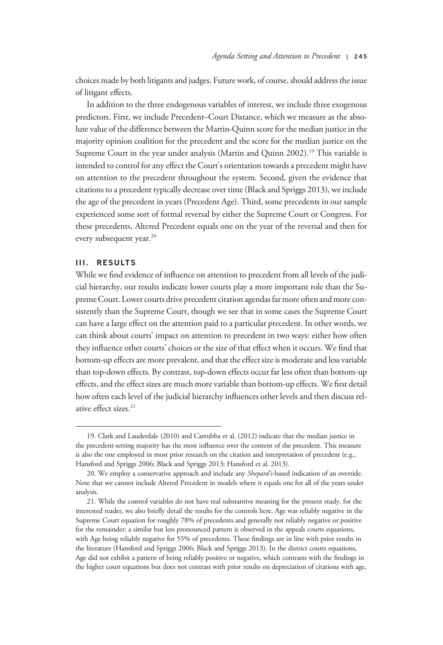choices made by both litigants and judges. Future work, of course, should address the issue of litigant effects.

In addition to the three endogenous variables of interest, we include three exogenous predictors. First, we include Precedent–Court Distance, which we measure as the absolute value of the difference between the Martin-Quinn score for the median justice in the majority opinion coalition for the precedent and the score for the median justice on the Supreme Court in the year under analysis (Martin and Quinn 2002).<sup>19</sup> This variable is intended to control for any effect the Court's orientation towards a precedent might have on attention to the precedent throughout the system. Second, given the evidence that citations to a precedent typically decrease over time (Black and Spriggs 2013), we include the age of the precedent in years (Precedent Age). Third, some precedents in our sample experienced some sort of formal reversal by either the Supreme Court or Congress. For these precedents, Altered Precedent equals one on the year of the reversal and then for every subsequent year.<sup>20</sup>

# III. RESULTS

While we find evidence of influence on attention to precedent from all levels of the judicial hierarchy, our results indicate lower courts play a more important role than the Supreme Court. Lower courts drive precedent citation agendas far more often and more consistently than the Supreme Court, though we see that in some cases the Supreme Court can have a large effect on the attention paid to a particular precedent. In other words, we can think about courts' impact on attention to precedent in two ways: either how often they influence other courts' choices or the size of that effect when it occurs. We find that bottom-up effects are more prevalent, and that the effect size is moderate and less variable than top-down effects. By contrast, top-down effects occur far less often than bottom-up effects, and the effect sizes are much more variable than bottom-up effects. We first detail how often each level of the judicial hierarchy influences other levels and then discuss relative effect sizes.<sup>21</sup>

<sup>19.</sup> Clark and Lauderdale (2010) and Carrubba et al. (2012) indicate that the median justice in the precedent-setting majority has the most influence over the content of the precedent. This measure is also the one employed in most prior research on the citation and interpretation of precedent (e.g., Hansford and Spriggs 2006; Black and Spriggs 2013; Hansford et al. 2013).

<sup>20.</sup> We employ a conservative approach and include any Shepard's-based indication of an override. Note that we cannot include Altered Precedent in models where it equals one for all of the years under analysis.

<sup>21.</sup> While the control variables do not have real substantive meaning for the present study, for the interested reader, we also briefly detail the results for the controls here. Age was reliably negative in the Supreme Court equation for roughly 78% of precedents and generally not reliably negative or positive for the remainder; a similar but less pronounced pattern is observed in the appeals courts equations, with Age being reliably negative for 55% of precedents. These findings are in line with prior results in the literature (Hansford and Spriggs 2006; Black and Spriggs 2013). In the district courts equations, Age did not exhibit a pattern of being reliably positive or negative, which contrasts with the findings in the higher court equations but does not contrast with prior results on depreciation of citations with age,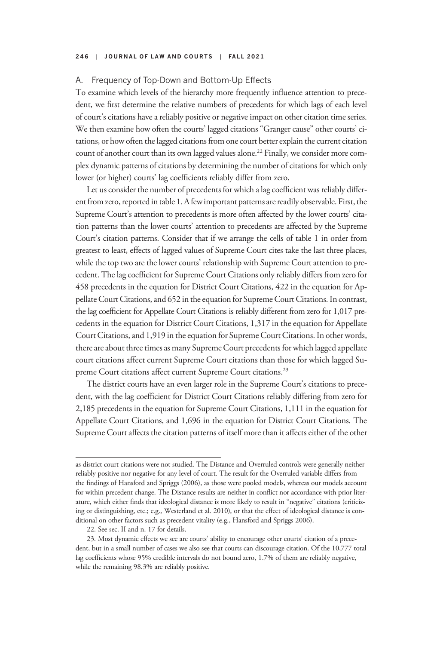# A. Frequency of Top-Down and Bottom-Up Effects

To examine which levels of the hierarchy more frequently influence attention to precedent, we first determine the relative numbers of precedents for which lags of each level of court's citations have a reliably positive or negative impact on other citation time series. We then examine how often the courts' lagged citations "Granger cause" other courts' citations, or how often the lagged citations from one court better explain the current citation count of another court than its own lagged values alone.<sup>22</sup> Finally, we consider more complex dynamic patterns of citations by determining the number of citations for which only lower (or higher) courts' lag coefficients reliably differ from zero.

Let us consider the number of precedents for which a lag coefficient was reliably differentfrom zero, reported in table 1. A few important patterns are readily observable. First, the Supreme Court's attention to precedents is more often affected by the lower courts' citation patterns than the lower courts' attention to precedents are affected by the Supreme Court's citation patterns. Consider that if we arrange the cells of table 1 in order from greatest to least, effects of lagged values of Supreme Court cites take the last three places, while the top two are the lower courts' relationship with Supreme Court attention to precedent. The lag coefficient for Supreme Court Citations only reliably differs from zero for 458 precedents in the equation for District Court Citations, 422 in the equation for Appellate Court Citations, and 652 in the equation for Supreme Court Citations. In contrast, the lag coefficient for Appellate Court Citations is reliably different from zero for 1,017 precedents in the equation for District Court Citations, 1,317 in the equation for Appellate Court Citations, and 1,919 in the equation for Supreme Court Citations. In other words, there are about three times as many Supreme Court precedents for which lagged appellate court citations affect current Supreme Court citations than those for which lagged Supreme Court citations affect current Supreme Court citations.<sup>23</sup>

The district courts have an even larger role in the Supreme Court's citations to precedent, with the lag coefficient for District Court Citations reliably differing from zero for 2,185 precedents in the equation for Supreme Court Citations, 1,111 in the equation for Appellate Court Citations, and 1,696 in the equation for District Court Citations. The Supreme Court affects the citation patterns of itself more than it affects either of the other

22. See sec. II and n. 17 for details.

as district court citations were not studied. The Distance and Overruled controls were generally neither reliably positive nor negative for any level of court. The result for the Overruled variable differs from the findings of Hansford and Spriggs (2006), as those were pooled models, whereas our models account for within precedent change. The Distance results are neither in conflict nor accordance with prior literature, which either finds that ideological distance is more likely to result in "negative" citations (criticizing or distinguishing, etc.; e.g., Westerland et al. 2010), or that the effect of ideological distance is conditional on other factors such as precedent vitality (e.g., Hansford and Spriggs 2006).

<sup>23.</sup> Most dynamic effects we see are courts' ability to encourage other courts' citation of a precedent, but in a small number of cases we also see that courts can discourage citation. Of the 10,777 total lag coefficients whose 95% credible intervals do not bound zero, 1.7% of them are reliably negative, while the remaining 98.3% are reliably positive.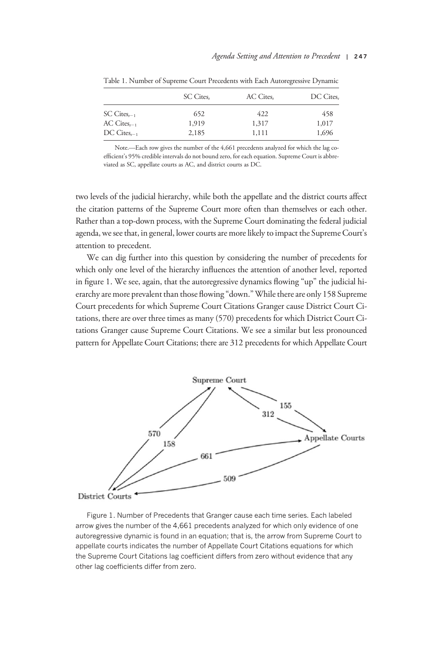|                          | SC Cites, | AC Cites, | DC Cites, |  |
|--------------------------|-----------|-----------|-----------|--|
| $SC \, Cites_{r-1}$      | 652       | 422       | 458       |  |
| $AC \; Cites_{r-1}$      | 1,919     | 1,317     | 1,017     |  |
| $DC \text{ Cites}_{t-1}$ | 2,185     | 1,111     | 1,696     |  |

Table 1. Number of Supreme Court Precedents with Each Autoregressive Dynamic

Note.—Each row gives the number of the 4,661 precedents analyzed for which the lag coefficient's 95% credible intervals do not bound zero, for each equation. Supreme Court is abbreviated as SC, appellate courts as AC, and district courts as DC.

two levels of the judicial hierarchy, while both the appellate and the district courts affect the citation patterns of the Supreme Court more often than themselves or each other. Rather than a top-down process, with the Supreme Court dominating the federal judicial agenda, we see that, in general, lower courts are more likely to impact the Supreme Court's attention to precedent.

We can dig further into this question by considering the number of precedents for which only one level of the hierarchy influences the attention of another level, reported in figure 1. We see, again, that the autoregressive dynamics flowing "up" the judicial hierarchy are more prevalent than those flowing "down."While there are only 158 Supreme Court precedents for which Supreme Court Citations Granger cause District Court Citations, there are over three times as many (570) precedents for which District Court Citations Granger cause Supreme Court Citations. We see a similar but less pronounced pattern for Appellate Court Citations; there are 312 precedents for which Appellate Court



Figure 1. Number of Precedents that Granger cause each time series. Each labeled arrow gives the number of the 4,661 precedents analyzed for which only evidence of one autoregressive dynamic is found in an equation; that is, the arrow from Supreme Court to appellate courts indicates the number of Appellate Court Citations equations for which the Supreme Court Citations lag coefficient differs from zero without evidence that any other lag coefficients differ from zero.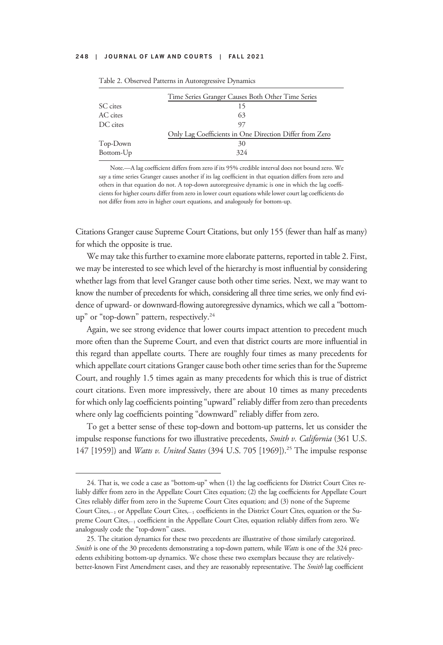|           | Time Series Granger Causes Both Other Time Series       |  |  |  |
|-----------|---------------------------------------------------------|--|--|--|
| SC cites  |                                                         |  |  |  |
| AC cites  | 63                                                      |  |  |  |
| DC cites  | 97                                                      |  |  |  |
|           | Only Lag Coefficients in One Direction Differ from Zero |  |  |  |
| Top-Down  | 30                                                      |  |  |  |
| Bottom-Up | 324                                                     |  |  |  |
|           |                                                         |  |  |  |

|  |  |  |  |  | Table 2. Observed Patterns in Autoregressive Dynamics |  |  |
|--|--|--|--|--|-------------------------------------------------------|--|--|
|--|--|--|--|--|-------------------------------------------------------|--|--|

Note.—A lag coefficient differs from zero if its 95% credible interval does not bound zero. We say a time series Granger causes another if its lag coefficient in that equation differs from zero and others in that equation do not. A top-down autoregressive dynamic is one in which the lag coefficients for higher courts differ from zero in lower court equations while lower court lag coefficients do not differ from zero in higher court equations, and analogously for bottom-up.

Citations Granger cause Supreme Court Citations, but only 155 (fewer than half as many) for which the opposite is true.

We may take this further to examine more elaborate patterns, reported in table 2. First, we may be interested to see which level of the hierarchy is most influential by considering whether lags from that level Granger cause both other time series. Next, we may want to know the number of precedents for which, considering all three time series, we only find evidence of upward- or downward-flowing autoregressive dynamics, which we call a "bottomup" or "top-down" pattern, respectively.<sup>24</sup>

Again, we see strong evidence that lower courts impact attention to precedent much more often than the Supreme Court, and even that district courts are more influential in this regard than appellate courts. There are roughly four times as many precedents for which appellate court citations Granger cause both other time series than for the Supreme Court, and roughly 1.5 times again as many precedents for which this is true of district court citations. Even more impressively, there are about 10 times as many precedents for which only lag coefficients pointing "upward" reliably differ from zero than precedents where only lag coefficients pointing "downward" reliably differ from zero.

To get a better sense of these top-down and bottom-up patterns, let us consider the impulse response functions for two illustrative precedents, Smith v. California (361 U.S. 147 [1959]) and *Watts v. United States* (394 U.S. 705 [1969]).<sup>25</sup> The impulse response

<sup>24.</sup> That is, we code a case as "bottom-up" when (1) the lag coefficients for District Court Cites reliably differ from zero in the Appellate Court Cites equation; (2) the lag coefficients for Appellate Court Cites reliably differ from zero in the Supreme Court Cites equation; and (3) none of the Supreme Court Cites<sub>t-1</sub> or Appellate Court Cites<sub>t-1</sub> coefficients in the District Court Cites<sub>t</sub> equation or the Supreme Court Cites $_{t-1}$  coefficient in the Appellate Court Cites, equation reliably differs from zero. We analogously code the "top-down" cases.

<sup>25.</sup> The citation dynamics for these two precedents are illustrative of those similarly categorized. Smith is one of the 30 precedents demonstrating a top-down pattern, while Watts is one of the 324 precedents exhibiting bottom-up dynamics. We chose these two exemplars because they are relativelybetter-known First Amendment cases, and they are reasonably representative. The Smith lag coefficient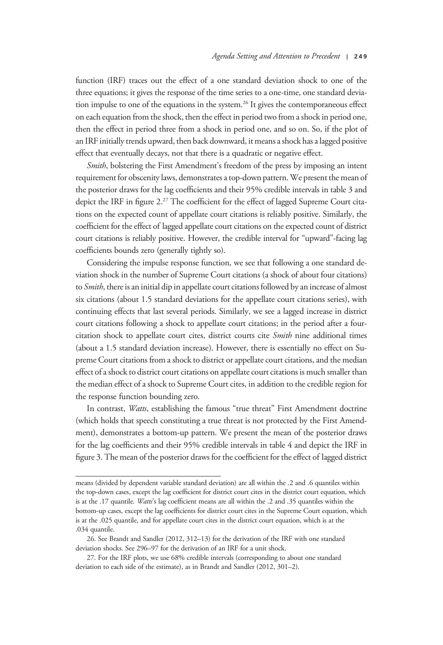function (IRF) traces out the effect of a one standard deviation shock to one of the three equations; it gives the response of the time series to a one-time, one standard deviation impulse to one of the equations in the system.<sup>26</sup> It gives the contemporaneous effect on each equation from the shock, then the effect in period two from a shock in period one, then the effect in period three from a shock in period one, and so on. So, if the plot of an IRF initially trends upward, then back downward, it means a shock has a lagged positive effect that eventually decays, not that there is a quadratic or negative effect.

Smith, bolstering the First Amendment's freedom of the press by imposing an intent requirement for obscenity laws, demonstrates a top-down pattern. We present the mean of the posterior draws for the lag coefficients and their 95% credible intervals in table 3 and depict the IRF in figure 2.<sup>27</sup> The coefficient for the effect of lagged Supreme Court citations on the expected count of appellate court citations is reliably positive. Similarly, the coefficient for the effect of lagged appellate court citations on the expected count of district court citations is reliably positive. However, the credible interval for "upward"-facing lag coefficients bounds zero (generally tightly so).

Considering the impulse response function, we see that following a one standard deviation shock in the number of Supreme Court citations (a shock of about four citations) to Smith, there is an initial dip in appellate court citations followed by an increase of almost six citations (about 1.5 standard deviations for the appellate court citations series), with continuing effects that last several periods. Similarly, we see a lagged increase in district court citations following a shock to appellate court citations; in the period after a fourcitation shock to appellate court cites, district courts cite Smith nine additional times (about a 1.5 standard deviation increase). However, there is essentially no effect on Supreme Court citations from a shock to district or appellate court citations, and the median effect of a shock to district court citations on appellate court citations is much smaller than the median effect of a shock to Supreme Court cites, in addition to the credible region for the response function bounding zero.

In contrast, Watts, establishing the famous "true threat" First Amendment doctrine (which holds that speech constituting a true threat is not protected by the First Amendment), demonstrates a bottom-up pattern. We present the mean of the posterior draws for the lag coefficients and their 95% credible intervals in table 4 and depict the IRF in figure 3. The mean of the posterior draws for the coefficient for the effect of lagged district

means (divided by dependent variable standard deviation) are all within the .2 and .6 quantiles within the top-down cases, except the lag coefficient for district court cites in the district court equation, which is at the .17 quantile. Watts's lag coefficient means are all within the .2 and .35 quantiles within the bottom-up cases, except the lag coefficients for district court cites in the Supreme Court equation, which is at the .025 quantile, and for appellate court cites in the district court equation, which is at the .034 quantile.

<sup>26.</sup> See Brandt and Sandler (2012, 312–13) for the derivation of the IRF with one standard deviation shocks. See 296–97 for the derivation of an IRF for a unit shock.

<sup>27.</sup> For the IRF plots, we use 68% credible intervals (corresponding to about one standard deviation to each side of the estimate), as in Brandt and Sandler (2012, 301–2).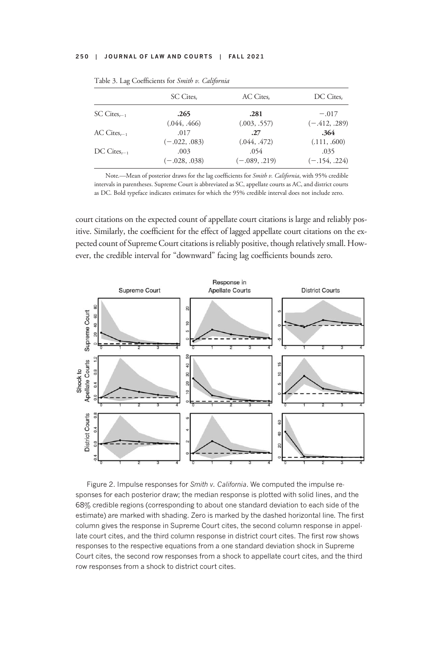|                     | SC Cites,       | AC Cites.       | DC Cites,       |  |
|---------------------|-----------------|-----------------|-----------------|--|
| $SC \, Cites_{r-1}$ | .265            | .281            | $-.017$         |  |
|                     | (.044, .466)    | (.003, .557)    | $(-.412, .289)$ |  |
| $AC \; Cites_{r-1}$ | .017            | .27             | .364            |  |
|                     | $(-.022, .083)$ | (.044, .472)    | (.111, .600)    |  |
| $DC Cites_{r-1}$    | .003            | .054            | .035            |  |
|                     | $(-.028, .038)$ | $(-.089, .219)$ | $(-.154, .224)$ |  |

Table 3. Lag Coefficients for Smith v. California

Note.—Mean of posterior draws for the lag coefficients for Smith v. California, with 95% credible intervals in parentheses. Supreme Court is abbreviated as SC, appellate courts as AC, and district courts as DC. Bold typeface indicates estimates for which the 95% credible interval does not include zero.

court citations on the expected count of appellate court citations is large and reliably positive. Similarly, the coefficient for the effect of lagged appellate court citations on the expected count of Supreme Court citations is reliably positive, though relatively small. However, the credible interval for "downward" facing lag coefficients bounds zero.



Figure 2. Impulse responses for Smith v. California. We computed the impulse responses for each posterior draw; the median response is plotted with solid lines, and the 68% credible regions (corresponding to about one standard deviation to each side of the estimate) are marked with shading. Zero is marked by the dashed horizontal line. The first column gives the response in Supreme Court cites, the second column response in appellate court cites, and the third column response in district court cites. The first row shows responses to the respective equations from a one standard deviation shock in Supreme Court cites, the second row responses from a shock to appellate court cites, and the third row responses from a shock to district court cites.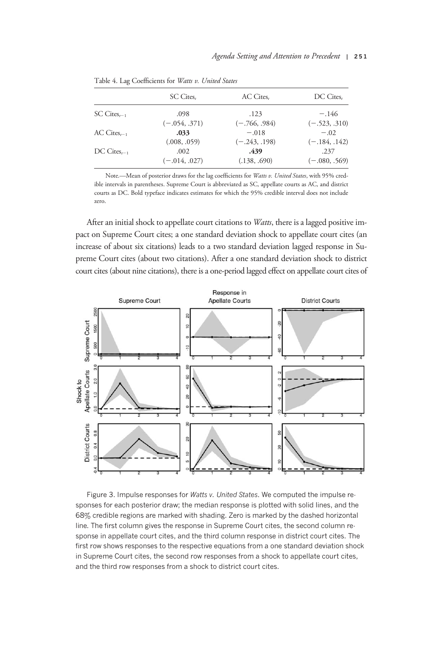|                     | SC Cites,       | AC Cites,       | DC Cites,       |  |
|---------------------|-----------------|-----------------|-----------------|--|
| $SC \, Cites_{r-1}$ | .098            | .123            | $-.146$         |  |
|                     | $(-.054, .371)$ | $(-.766, .984)$ | $(-.523, .310)$ |  |
| $AC \; Cites_{r-1}$ | .033            | $-.018$         | $-.02$          |  |
|                     | (.008, .059)    | $(-.243, .198)$ | $(-.184, .142)$ |  |
| $DC Cites_{r-1}$    | .002            | .439            | .237            |  |
|                     | $(-.014, .027)$ | (.138, .690)    | $(-.080, .569)$ |  |

Table 4. Lag Coefficients for Watts v. United States

Note.-Mean of posterior draws for the lag coefficients for Watts v. United States, with 95% credible intervals in parentheses. Supreme Court is abbreviated as SC, appellate courts as AC, and district courts as DC. Bold typeface indicates estimates for which the 95% credible interval does not include zero.

After an initial shock to appellate court citations to *Watts*, there is a lagged positive impact on Supreme Court cites; a one standard deviation shock to appellate court cites (an increase of about six citations) leads to a two standard deviation lagged response in Supreme Court cites (about two citations). After a one standard deviation shock to district court cites (about nine citations), there is a one-period lagged effect on appellate court cites of



Figure 3. Impulse responses for Watts v. United States. We computed the impulse responses for each posterior draw; the median response is plotted with solid lines, and the 68% credible regions are marked with shading. Zero is marked by the dashed horizontal line. The first column gives the response in Supreme Court cites, the second column response in appellate court cites, and the third column response in district court cites. The first row shows responses to the respective equations from a one standard deviation shock in Supreme Court cites, the second row responses from a shock to appellate court cites, and the third row responses from a shock to district court cites.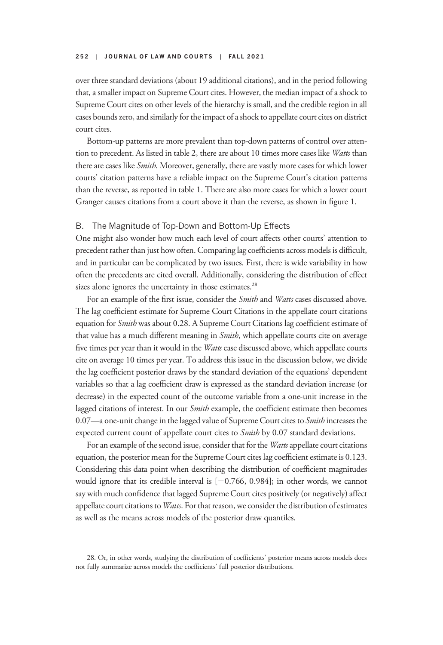over three standard deviations (about 19 additional citations), and in the period following that, a smaller impact on Supreme Court cites. However, the median impact of a shock to Supreme Court cites on other levels of the hierarchy is small, and the credible region in all cases bounds zero, and similarly for the impact of a shock to appellate court cites on district court cites.

Bottom-up patterns are more prevalent than top-down patterns of control over attention to precedent. As listed in table 2, there are about 10 times more cases like Watts than there are cases like Smith. Moreover, generally, there are vastly more cases for which lower courts' citation patterns have a reliable impact on the Supreme Court's citation patterns than the reverse, as reported in table 1. There are also more cases for which a lower court Granger causes citations from a court above it than the reverse, as shown in figure 1.

# B. The Magnitude of Top-Down and Bottom-Up Effects

One might also wonder how much each level of court affects other courts' attention to precedent rather than just how often. Comparing lag coefficients across models is difficult, and in particular can be complicated by two issues. First, there is wide variability in how often the precedents are cited overall. Additionally, considering the distribution of effect sizes alone ignores the uncertainty in those estimates.<sup>28</sup>

For an example of the first issue, consider the Smith and Watts cases discussed above. The lag coefficient estimate for Supreme Court Citations in the appellate court citations equation for Smith was about 0.28. A Supreme Court Citations lag coefficient estimate of that value has a much different meaning in Smith, which appellate courts cite on average five times per year than it would in the Watts case discussed above, which appellate courts cite on average 10 times per year. To address this issue in the discussion below, we divide the lag coefficient posterior draws by the standard deviation of the equations' dependent variables so that a lag coefficient draw is expressed as the standard deviation increase (or decrease) in the expected count of the outcome variable from a one-unit increase in the lagged citations of interest. In our *Smith* example, the coefficient estimate then becomes 0.07—a one-unit change in the lagged value of Supreme Court cites to Smith increases the expected current count of appellate court cites to Smith by 0.07 standard deviations.

For an example of the second issue, consider that for the *Watts* appellate court citations equation, the posterior mean for the Supreme Court cites lag coefficient estimate is 0.123. Considering this data point when describing the distribution of coefficient magnitudes would ignore that its credible interval is  $[-0.766, 0.984]$ ; in other words, we cannot say with much confidence that lagged Supreme Court cites positively (or negatively) affect appellate court citations to Watts. For that reason, we consider the distribution of estimates as well as the means across models of the posterior draw quantiles.

<sup>28.</sup> Or, in other words, studying the distribution of coefficients' posterior means across models does not fully summarize across models the coefficients' full posterior distributions.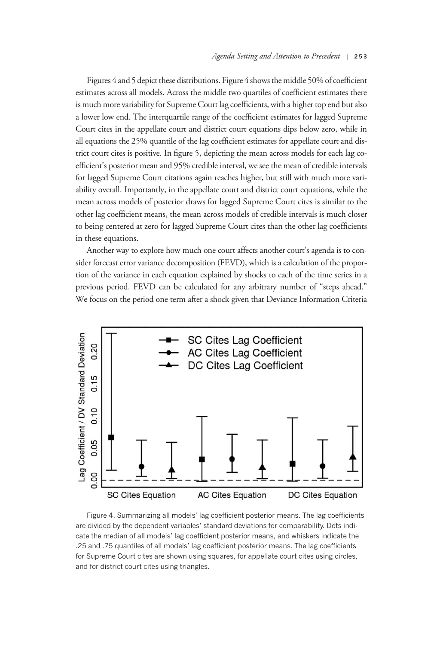Figures 4 and 5 depict these distributions. Figure 4 shows the middle 50% of coefficient estimates across all models. Across the middle two quartiles of coefficient estimates there is much more variability for Supreme Court lag coefficients, with a higher top end but also a lower low end. The interquartile range of the coefficient estimates for lagged Supreme Court cites in the appellate court and district court equations dips below zero, while in all equations the 25% quantile of the lag coefficient estimates for appellate court and district court cites is positive. In figure 5, depicting the mean across models for each lag coefficient's posterior mean and 95% credible interval, we see the mean of credible intervals for lagged Supreme Court citations again reaches higher, but still with much more variability overall. Importantly, in the appellate court and district court equations, while the mean across models of posterior draws for lagged Supreme Court cites is similar to the other lag coefficient means, the mean across models of credible intervals is much closer to being centered at zero for lagged Supreme Court cites than the other lag coefficients in these equations.

Another way to explore how much one court affects another court's agenda is to consider forecast error variance decomposition (FEVD), which is a calculation of the proportion of the variance in each equation explained by shocks to each of the time series in a previous period. FEVD can be calculated for any arbitrary number of "steps ahead." We focus on the period one term after a shock given that Deviance Information Criteria



Figure 4. Summarizing all models' lag coefficient posterior means. The lag coefficients are divided by the dependent variables' standard deviations for comparability. Dots indicate the median of all models' lag coefficient posterior means, and whiskers indicate the .25 and .75 quantiles of all models' lag coefficient posterior means. The lag coefficients for Supreme Court cites are shown using squares, for appellate court cites using circles, and for district court cites using triangles.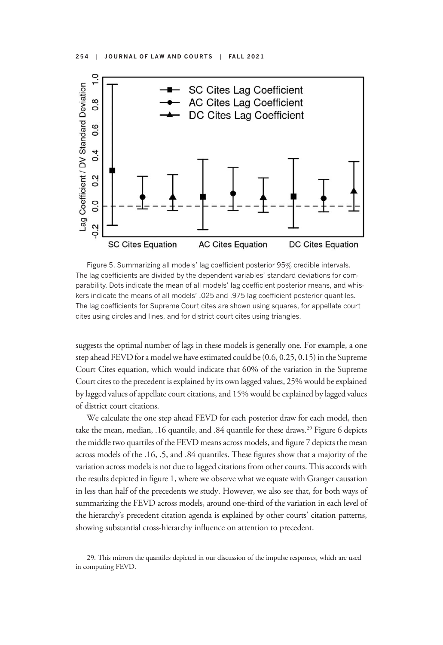

Figure 5. Summarizing all models' lag coefficient posterior 95% credible intervals. The lag coefficients are divided by the dependent variables' standard deviations for comparability. Dots indicate the mean of all models' lag coefficient posterior means, and whiskers indicate the means of all models' .025 and .975 lag coefficient posterior quantiles. The lag coefficients for Supreme Court cites are shown using squares, for appellate court cites using circles and lines, and for district court cites using triangles.

suggests the optimal number of lags in these models is generally one. For example, a one step ahead FEVD for a model we have estimated could be (0.6, 0.25, 0.15) in the Supreme Court Cites equation, which would indicate that 60% of the variation in the Supreme Court cites to the precedent is explained by its own lagged values, 25% would be explained by lagged values of appellate court citations, and 15% would be explained by lagged values of district court citations.

We calculate the one step ahead FEVD for each posterior draw for each model, then take the mean, median, .16 quantile, and .84 quantile for these draws.<sup>29</sup> Figure 6 depicts the middle two quartiles of the FEVD means across models, and figure 7 depicts the mean across models of the .16, .5, and .84 quantiles. These figures show that a majority of the variation across models is not due to lagged citations from other courts. This accords with the results depicted in figure 1, where we observe what we equate with Granger causation in less than half of the precedents we study. However, we also see that, for both ways of summarizing the FEVD across models, around one-third of the variation in each level of the hierarchy's precedent citation agenda is explained by other courts' citation patterns, showing substantial cross-hierarchy influence on attention to precedent.

<sup>29.</sup> This mirrors the quantiles depicted in our discussion of the impulse responses, which are used in computing FEVD.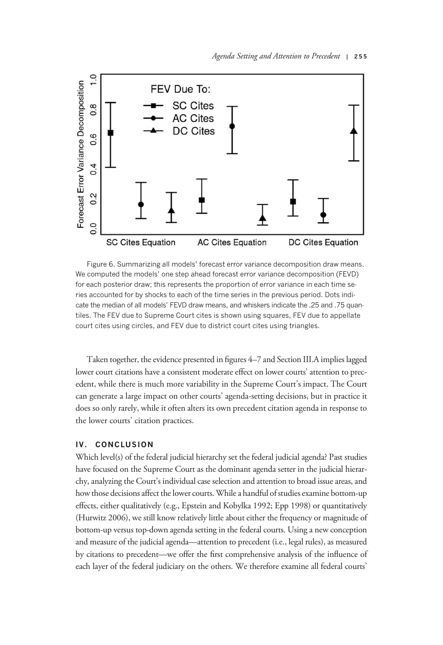

Figure 6. Summarizing all models' forecast error variance decomposition draw means. We computed the models' one step ahead forecast error variance decomposition (FEVD) for each posterior draw; this represents the proportion of error variance in each time series accounted for by shocks to each of the time series in the previous period. Dots indicate the median of all models' FEVD draw means, and whiskers indicate the .25 and .75 quantiles. The FEV due to Supreme Court cites is shown using squares, FEV due to appellate court cites using circles, and FEV due to district court cites using triangles.

Taken together, the evidence presented in figures 4–7 and Section III.A implies lagged lower court citations have a consistent moderate effect on lower courts' attention to precedent, while there is much more variability in the Supreme Court's impact. The Court can generate a large impact on other courts' agenda-setting decisions, but in practice it does so only rarely, while it often alters its own precedent citation agenda in response to the lower courts' citation practices.

# IV. CONCLUSION

Which level(s) of the federal judicial hierarchy set the federal judicial agenda? Past studies have focused on the Supreme Court as the dominant agenda setter in the judicial hierarchy, analyzing the Court's individual case selection and attention to broad issue areas, and how those decisions affect the lower courts. While a handful of studies examine bottom-up effects, either qualitatively (e.g., Epstein and Kobylka 1992; Epp 1998) or quantitatively (Hurwitz 2006), we still know relatively little about either the frequency or magnitude of bottom-up versus top-down agenda setting in the federal courts. Using a new conception and measure of the judicial agenda—attention to precedent (i.e., legal rules), as measured by citations to precedent—we offer the first comprehensive analysis of the influence of each layer of the federal judiciary on the others. We therefore examine all federal courts'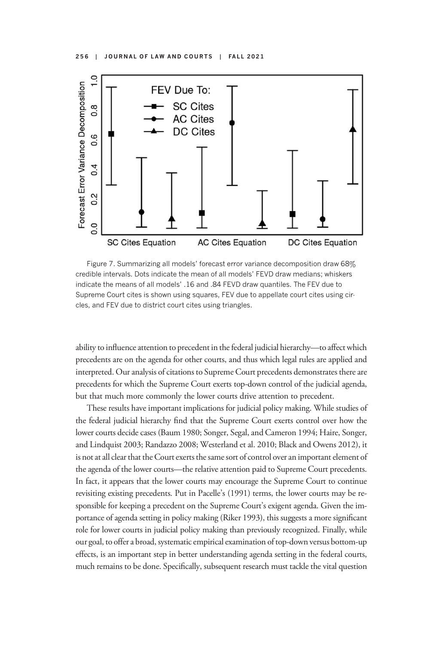

Figure 7. Summarizing all models' forecast error variance decomposition draw 68% credible intervals. Dots indicate the mean of all models' FEVD draw medians; whiskers indicate the means of all models' .16 and .84 FEVD draw quantiles. The FEV due to Supreme Court cites is shown using squares, FEV due to appellate court cites using circles, and FEV due to district court cites using triangles.

ability to influence attention to precedent in the federal judicial hierarchy—to affect which precedents are on the agenda for other courts, and thus which legal rules are applied and interpreted. Our analysis of citations to Supreme Court precedents demonstrates there are precedents for which the Supreme Court exerts top-down control of the judicial agenda, but that much more commonly the lower courts drive attention to precedent.

These results have important implications for judicial policy making. While studies of the federal judicial hierarchy find that the Supreme Court exerts control over how the lower courts decide cases (Baum 1980; Songer, Segal, and Cameron 1994; Haire, Songer, and Lindquist 2003; Randazzo 2008; Westerland et al. 2010; Black and Owens 2012), it is not at all clear that the Court exerts the same sort of control over an important element of the agenda of the lower courts—the relative attention paid to Supreme Court precedents. In fact, it appears that the lower courts may encourage the Supreme Court to continue revisiting existing precedents. Put in Pacelle's (1991) terms, the lower courts may be responsible for keeping a precedent on the Supreme Court's exigent agenda. Given the importance of agenda setting in policy making (Riker 1993), this suggests a more significant role for lower courts in judicial policy making than previously recognized. Finally, while our goal, to offer a broad, systematic empirical examination of top-down versus bottom-up effects, is an important step in better understanding agenda setting in the federal courts, much remains to be done. Specifically, subsequent research must tackle the vital question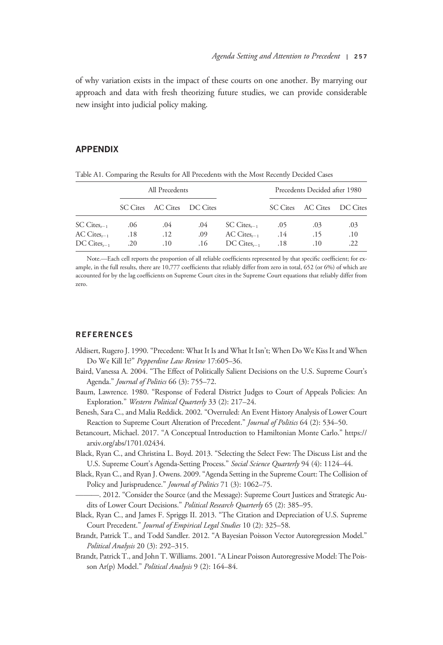of why variation exists in the impact of these courts on one another. By marrying our approach and data with fresh theorizing future studies, we can provide considerable new insight into judicial policy making.

# APPENDIX

|                          | All Precedents |                            |     |                     | Precedents Decided after 1980 |                   |          |
|--------------------------|----------------|----------------------------|-----|---------------------|-------------------------------|-------------------|----------|
|                          |                | SC Cites AC Cites DC Cites |     |                     |                               | SC Cites AC Cites | DC Cites |
| $SC \, Cites_{t-1}$      | .06            | .04                        | .04 | $SC \, C$ ites      | .05                           | .03               | .03      |
| $AC \; Cites_{r-1}$      | .18            | .12                        | .09 | $AC \; Cites_{r-1}$ | .14                           | .15               | .10      |
| $DC \text{ Cites}_{r-1}$ | .20            | .10                        | .16 | $DC \; Cites_{r-1}$ | .18                           | .10               | .22      |

Table A1. Comparing the Results for All Precedents with the Most Recently Decided Cases

Note.—Each cell reports the proportion of all reliable coefficients represented by that specific coefficient; for example, in the full results, there are 10,777 coefficients that reliably differ from zero in total, 652 (or 6%) of which are accounted for by the lag coefficients on Supreme Court cites in the Supreme Court equations that reliably differ from zero.

#### **REFERENCES**

- Aldisert, Rugero J. 1990. "Precedent: What It Is and What It Isn't; When Do We Kiss It and When Do We Kill It?" Pepperdine Law Review 17:605–36.
- Baird, Vanessa A. 2004. "The Effect of Politically Salient Decisions on the U.S. Supreme Court's Agenda." Journal of Politics 66 (3): 755-72.
- Baum, Lawrence. 1980. "Response of Federal District Judges to Court of Appeals Policies: An Exploration." Western Political Quarterly 33 (2): 217-24.
- Benesh, Sara C., and Malia Reddick. 2002. "Overruled: An Event History Analysis of Lower Court Reaction to Supreme Court Alteration of Precedent." Journal of Politics 64 (2): 534-50.
- Betancourt, Michael. 2017. "A Conceptual Introduction to Hamiltonian Monte Carlo." https:// arxiv.org/abs/1701.02434.
- Black, Ryan C., and Christina L. Boyd. 2013. "Selecting the Select Few: The Discuss List and the U.S. Supreme Court's Agenda-Setting Process." Social Science Quarterly 94 (4): 1124-44.
- Black, Ryan C., and Ryan J. Owens. 2009."Agenda Setting in the Supreme Court: The Collision of Policy and Jurisprudence." *Journal of Politics* 71 (3): 1062-75.
	- ———. 2012. "Consider the Source (and the Message): Supreme Court Justices and Strategic Audits of Lower Court Decisions." Political Research Quarterly 65 (2): 385-95.
- Black, Ryan C., and James F. Spriggs II. 2013. "The Citation and Depreciation of U.S. Supreme Court Precedent." Journal of Empirical Legal Studies 10 (2): 325–58.
- Brandt, Patrick T., and Todd Sandler. 2012. "A Bayesian Poisson Vector Autoregression Model." Political Analysis 20 (3): 292–315.
- Brandt, Patrick T., and John T. Williams. 2001."A Linear Poisson Autoregressive Model: The Poisson Ar(p) Model." Political Analysis 9 (2): 164-84.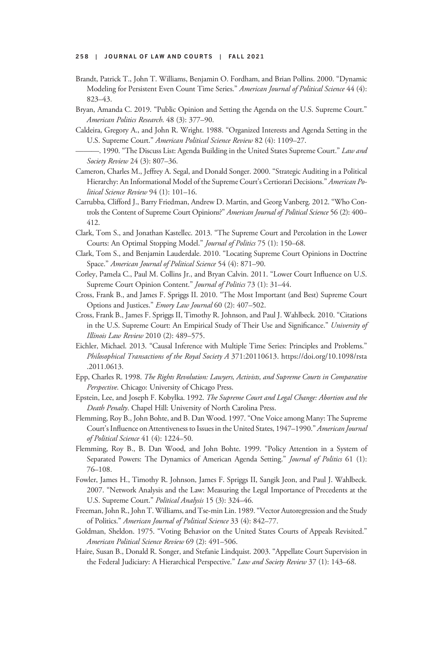- Brandt, Patrick T., John T. Williams, Benjamin O. Fordham, and Brian Pollins. 2000. "Dynamic Modeling for Persistent Even Count Time Series." American Journal of Political Science 44 (4): 823–43.
- Bryan, Amanda C. 2019. "Public Opinion and Setting the Agenda on the U.S. Supreme Court." American Politics Research. 48 (3): 377–90.
- Caldeira, Gregory A., and John R. Wright. 1988. "Organized Interests and Agenda Setting in the U.S. Supreme Court." American Political Science Review 82 (4): 1109-27.
- -. 1990. "The Discuss List: Agenda Building in the United States Supreme Court." Law and Society Review 24 (3): 807–36.
- Cameron, Charles M., Jeffrey A. Segal, and Donald Songer. 2000. "Strategic Auditing in a Political Hierarchy: An Informational Model of the Supreme Court's Certiorari Decisions." American Political Science Review 94 (1): 101–16.
- Carrubba, Clifford J., Barry Friedman, Andrew D. Martin, and Georg Vanberg. 2012. "Who Controls the Content of Supreme Court Opinions?" American Journal of Political Science 56 (2): 400-412.
- Clark, Tom S., and Jonathan Kastellec. 2013. "The Supreme Court and Percolation in the Lower Courts: An Optimal Stopping Model." Journal of Politics 75 (1): 150–68.
- Clark, Tom S., and Benjamin Lauderdale. 2010. "Locating Supreme Court Opinions in Doctrine Space." American Journal of Political Science 54 (4): 871-90.
- Corley, Pamela C., Paul M. Collins Jr., and Bryan Calvin. 2011. "Lower Court Influence on U.S. Supreme Court Opinion Content." Journal of Politics 73 (1): 31-44.
- Cross, Frank B., and James F. Spriggs II. 2010. "The Most Important (and Best) Supreme Court Options and Justices." Emory Law Journal 60 (2): 407–502.
- Cross, Frank B., James F. Spriggs II, Timothy R. Johnson, and Paul J. Wahlbeck. 2010. "Citations in the U.S. Supreme Court: An Empirical Study of Their Use and Significance." University of Illinois Law Review 2010 (2): 489–575.
- Eichler, Michael. 2013. "Causal Inference with Multiple Time Series: Principles and Problems." Philosophical Transactions of the Royal Society A 371:20110613. https://doi.org/10.1098/rsta .2011.0613.
- Epp, Charles R. 1998. The Rights Revolution: Lawyers, Activists, and Supreme Courts in Comparative Perspective. Chicago: University of Chicago Press.
- Epstein, Lee, and Joseph F. Kobylka. 1992. The Supreme Court and Legal Change: Abortion and the Death Penalty. Chapel Hill: University of North Carolina Press.
- Flemming, Roy B., John Bohte, and B. Dan Wood. 1997."One Voice among Many: The Supreme Court's Influence on Attentiveness to Issues in the United States, 1947–1990." American Journal of Political Science 41 (4): 1224–50.
- Flemming, Roy B., B. Dan Wood, and John Bohte. 1999. "Policy Attention in a System of Separated Powers: The Dynamics of American Agenda Setting." Journal of Politics 61 (1): 76–108.
- Fowler, James H., Timothy R. Johnson, James F. Spriggs II, Sangik Jeon, and Paul J. Wahlbeck. 2007. "Network Analysis and the Law: Measuring the Legal Importance of Precedents at the U.S. Supreme Court." Political Analysis 15 (3): 324-46.
- Freeman, John R., John T. Williams, and Tse-min Lin. 1989."Vector Autoregression and the Study of Politics." American Journal of Political Science 33 (4): 842–77.
- Goldman, Sheldon. 1975. "Voting Behavior on the United States Courts of Appeals Revisited." American Political Science Review 69 (2): 491–506.
- Haire, Susan B., Donald R. Songer, and Stefanie Lindquist. 2003. "Appellate Court Supervision in the Federal Judiciary: A Hierarchical Perspective." Law and Society Review 37 (1): 143-68.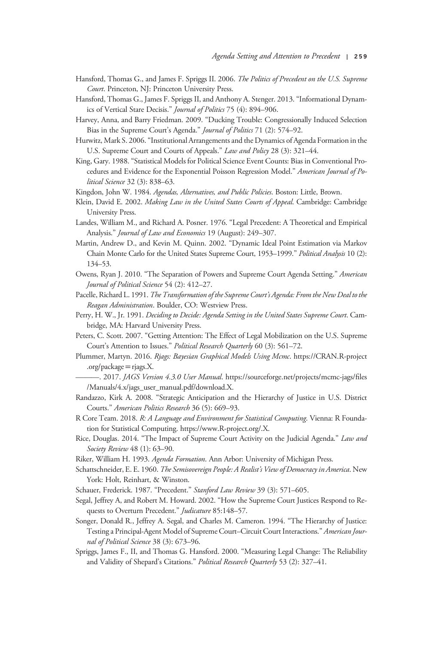- Hansford, Thomas G., and James F. Spriggs II. 2006. The Politics of Precedent on the U.S. Supreme Court. Princeton, NJ: Princeton University Press.
- Hansford, Thomas G., James F. Spriggs II, and Anthony A. Stenger. 2013."Informational Dynamics of Vertical Stare Decisis." Journal of Politics 75 (4): 894-906.
- Harvey, Anna, and Barry Friedman. 2009. "Ducking Trouble: Congressionally Induced Selection Bias in the Supreme Court's Agenda." *Journal of Politics* 71 (2): 574–92.
- Hurwitz, Mark S. 2006."Institutional Arrangements and the Dynamics of Agenda Formation in the U.S. Supreme Court and Courts of Appeals." Law and Policy 28 (3): 321-44.
- King, Gary. 1988."Statistical Models for Political Science Event Counts: Bias in Conventional Procedures and Evidence for the Exponential Poisson Regression Model." American Journal of Political Science 32 (3): 838–63.

Kingdon, John W. 1984. Agendas, Alternatives, and Public Policies. Boston: Little, Brown.

- Klein, David E. 2002. Making Law in the United States Courts of Appeal. Cambridge: Cambridge University Press.
- Landes, William M., and Richard A. Posner. 1976. "Legal Precedent: A Theoretical and Empirical Analysis." Journal of Law and Economics 19 (August): 249-307.
- Martin, Andrew D., and Kevin M. Quinn. 2002. "Dynamic Ideal Point Estimation via Markov Chain Monte Carlo for the United States Supreme Court, 1953-1999." Political Analysis 10 (2): 134–53.
- Owens, Ryan J. 2010. "The Separation of Powers and Supreme Court Agenda Setting." American Journal of Political Science 54 (2): 412–27.
- Pacelle, Richard L. 1991. The Transformation of the Supreme Court's Agenda: From the New Deal to the Reagan Administration. Boulder, CO: Westview Press.
- Perry, H. W., Jr. 1991. Deciding to Decide: Agenda Setting in the United States Supreme Court. Cambridge, MA: Harvard University Press.
- Peters, C. Scott. 2007. "Getting Attention: The Effect of Legal Mobilization on the U.S. Supreme Court's Attention to Issues." Political Research Quarterly 60 (3): 561–72.
- Plummer, Martyn. 2016. Rjags: Bayesian Graphical Models Using Mcmc. https://CRAN.R-project .org/package  $=$  rjags.X.
- -. 2017. JAGS Version 4.3.0 User Manual. https://sourceforge.net/projects/mcmc-jags/files /Manuals/4.x/jags\_user\_manual.pdf/download.X.
- Randazzo, Kirk A. 2008. "Strategic Anticipation and the Hierarchy of Justice in U.S. District Courts." American Politics Research 36 (5): 669–93.
- R Core Team. 2018. R: A Language and Environment for Statistical Computing. Vienna: R Foundation for Statistical Computing. https://www.R-project.org/.X.
- Rice, Douglas. 2014. "The Impact of Supreme Court Activity on the Judicial Agenda." Law and Society Review 48 (1): 63-90.
- Riker, William H. 1993. Agenda Formation. Ann Arbor: University of Michigan Press.
- Schattschneider, E. E. 1960. The Semisovereign People: A Realist's View of Democracy in America. New York: Holt, Reinhart, & Winston.
- Schauer, Frederick. 1987. "Precedent." Stanford Law Review 39 (3): 571-605.
- Segal, Jeffrey A, and Robert M. Howard. 2002. "How the Supreme Court Justices Respond to Requests to Overturn Precedent." Judicature 85:148-57.
- Songer, Donald R., Jeffrey A. Segal, and Charles M. Cameron. 1994. "The Hierarchy of Justice: Testing a Principal-Agent Model of Supreme Court–Circuit Court Interactions." American Journal of Political Science 38 (3): 673–96.
- Spriggs, James F., II, and Thomas G. Hansford. 2000. "Measuring Legal Change: The Reliability and Validity of Shepard's Citations." Political Research Quarterly 53 (2): 327-41.